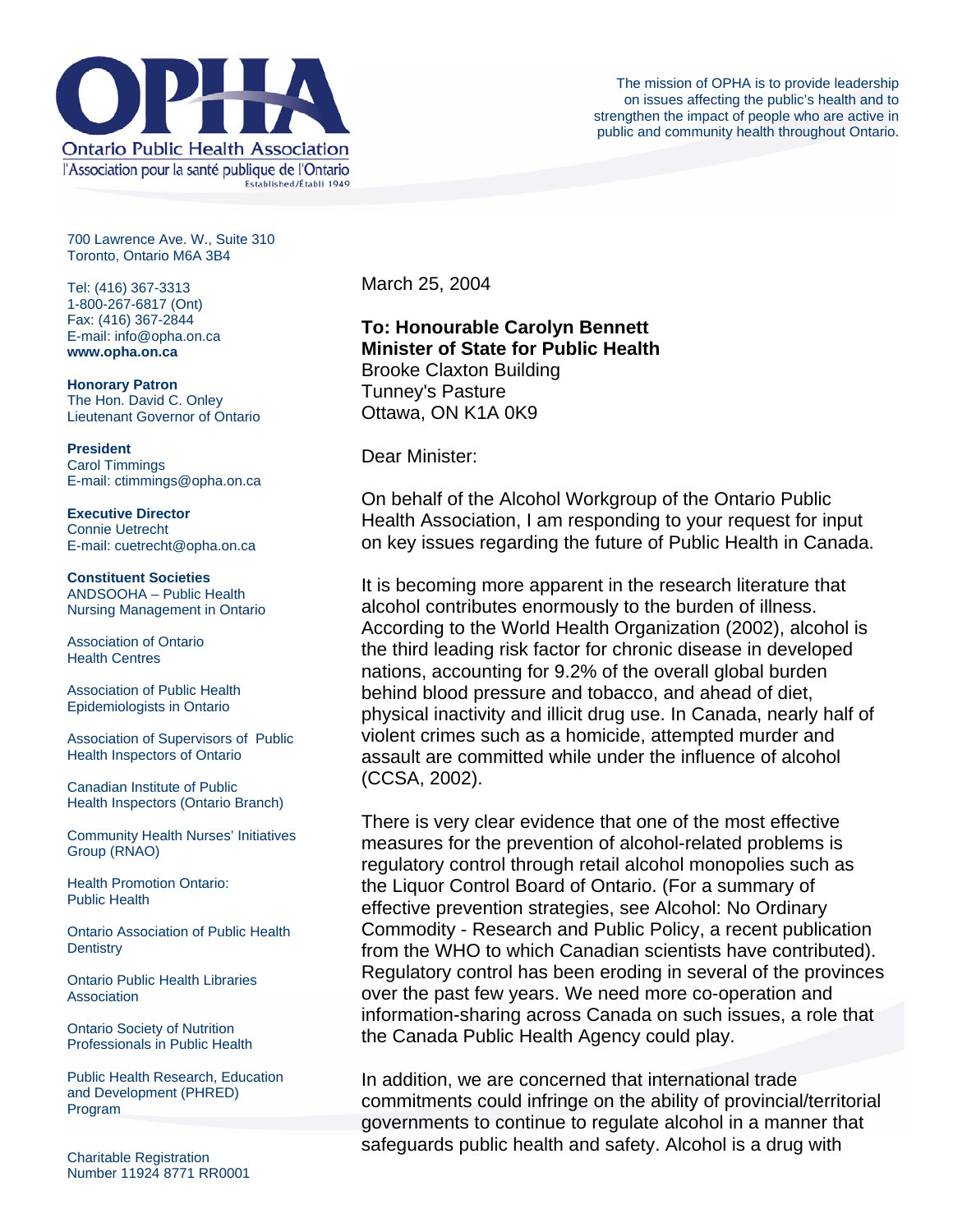

700 Lawrence Ave. W., Suite 310 Toronto, Ontario M6A 3B4

Tel: (416) 367-3313 1-800-267-6817 (Ont) Fax: (416) 367-2844 E-mail: info@opha.on.ca **www.opha.on.ca** 

**Honorary Patron**  The Hon. David C. Onley Lieutenant Governor of Ontario

**President**  Carol Timmings E-mail: ctimmings@opha.on.ca

**Executive Director**  Connie Uetrecht E-mail: cuetrecht@opha.on.ca

**Constituent Societies**  ANDSOOHA – Public Health Nursing Management in Ontario

Association of Ontario Health Centres

Association of Public Health Epidemiologists in Ontario

Association of Supervisors of Public Health Inspectors of Ontario

Canadian Institute of Public Health Inspectors (Ontario Branch)

Community Health Nurses' Initiatives Group (RNAO)

Health Promotion Ontario: Public Health

Ontario Association of Public Health **Dentistry** 

Ontario Public Health Libraries **Association** 

Ontario Society of Nutrition Professionals in Public Health

Public Health Research, Education and Development (PHRED) Program

Charitable Registration Number 11924 8771 RR0001 March 25, 2004

## **To: Honourable Carolyn Bennett Minister of State for Public Health** Brooke Claxton Building Tunney's Pasture Ottawa, ON K1A 0K9

Dear Minister:

On behalf of the Alcohol Workgroup of the Ontario Public Health Association, I am responding to your request for input on key issues regarding the future of Public Health in Canada.

It is becoming more apparent in the research literature that alcohol contributes enormously to the burden of illness. According to the World Health Organization (2002), alcohol is the third leading risk factor for chronic disease in developed nations, accounting for 9.2% of the overall global burden behind blood pressure and tobacco, and ahead of diet, physical inactivity and illicit drug use. In Canada, nearly half of violent crimes such as a homicide, attempted murder and assault are committed while under the influence of alcohol (CCSA, 2002).

There is very clear evidence that one of the most effective measures for the prevention of alcohol-related problems is regulatory control through retail alcohol monopolies such as the Liquor Control Board of Ontario. (For a summary of effective prevention strategies, see Alcohol: No Ordinary Commodity - Research and Public Policy, a recent publication from the WHO to which Canadian scientists have contributed). Regulatory control has been eroding in several of the provinces over the past few years. We need more co-operation and information-sharing across Canada on such issues, a role that the Canada Public Health Agency could play.

In addition, we are concerned that international trade commitments could infringe on the ability of provincial/territorial governments to continue to regulate alcohol in a manner that safeguards public health and safety. Alcohol is a drug with